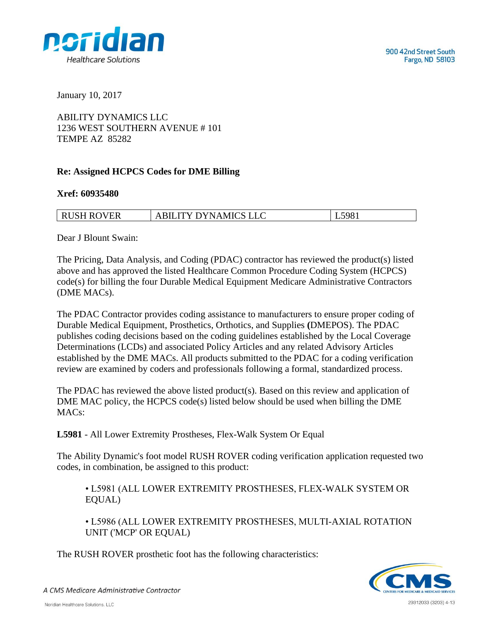

January 10, 2017

ABILITY DYNAMICS LLC 1236 WEST SOUTHERN AVENUE # 101 TEMPE AZ 85282

## **Re: Assigned HCPCS Codes for DME Billing**

## **Xref: 60935480**

| RUSH ROVER | <b>ABILITY DYNAMICS LLC</b> | L5981 |
|------------|-----------------------------|-------|

Dear J Blount Swain:

The Pricing, Data Analysis, and Coding (PDAC) contractor has reviewed the product(s) listed above and has approved the listed Healthcare Common Procedure Coding System (HCPCS) code(s) for billing the four Durable Medical Equipment Medicare Administrative Contractors (DME MACs).

The PDAC Contractor provides coding assistance to manufacturers to ensure proper coding of Durable Medical Equipment, Prosthetics, Orthotics, and Supplies **(**DMEPOS). The PDAC publishes coding decisions based on the coding guidelines established by the Local Coverage Determinations (LCDs) and associated Policy Articles and any related Advisory Articles established by the DME MACs. All products submitted to the PDAC for a coding verification review are examined by coders and professionals following a formal, standardized process.

The PDAC has reviewed the above listed product(s). Based on this review and application of DME MAC policy, the HCPCS code(s) listed below should be used when billing the DME MACs:

**L5981** - All Lower Extremity Prostheses, Flex-Walk System Or Equal

The Ability Dynamic's foot model RUSH ROVER coding verification application requested two codes, in combination, be assigned to this product:

• L5981 (ALL LOWER EXTREMITY PROSTHESES, FLEX-WALK SYSTEM OR EQUAL)

• L5986 (ALL LOWER EXTREMITY PROSTHESES, MULTI-AXIAL ROTATION UNIT ('MCP' OR EQUAL)

The RUSH ROVER prosthetic foot has the following characteristics:



A CMS Medicare Administrative Contractor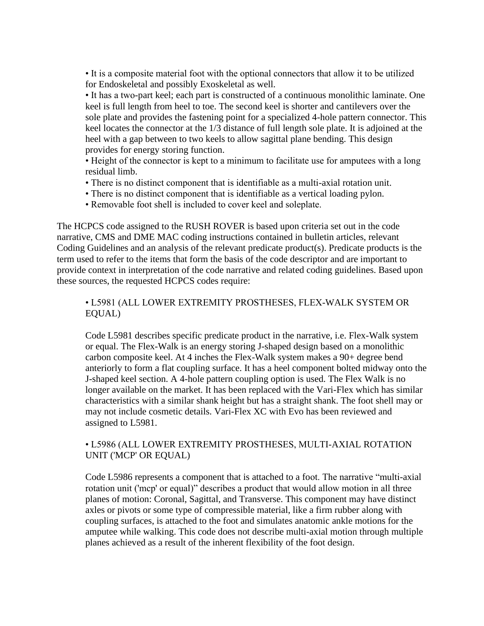• It is a composite material foot with the optional connectors that allow it to be utilized for Endoskeletal and possibly Exoskeletal as well.

• It has a two-part keel; each part is constructed of a continuous monolithic laminate. One keel is full length from heel to toe. The second keel is shorter and cantilevers over the sole plate and provides the fastening point for a specialized 4-hole pattern connector. This keel locates the connector at the 1/3 distance of full length sole plate. It is adjoined at the heel with a gap between to two keels to allow sagittal plane bending. This design provides for energy storing function.

• Height of the connector is kept to a minimum to facilitate use for amputees with a long residual limb.

- There is no distinct component that is identifiable as a multi-axial rotation unit.
- There is no distinct component that is identifiable as a vertical loading pylon.
- Removable foot shell is included to cover keel and soleplate.

The HCPCS code assigned to the RUSH ROVER is based upon criteria set out in the code narrative, CMS and DME MAC coding instructions contained in bulletin articles, relevant Coding Guidelines and an analysis of the relevant predicate product(s). Predicate products is the term used to refer to the items that form the basis of the code descriptor and are important to provide context in interpretation of the code narrative and related coding guidelines. Based upon these sources, the requested HCPCS codes require:

## • L5981 (ALL LOWER EXTREMITY PROSTHESES, FLEX-WALK SYSTEM OR EQUAL)

Code L5981 describes specific predicate product in the narrative, i.e. Flex-Walk system or equal. The Flex-Walk is an energy storing J-shaped design based on a monolithic carbon composite keel. At 4 inches the Flex-Walk system makes a 90+ degree bend anteriorly to form a flat coupling surface. It has a heel component bolted midway onto the J-shaped keel section. A 4-hole pattern coupling option is used. The Flex Walk is no longer available on the market. It has been replaced with the Vari-Flex which has similar characteristics with a similar shank height but has a straight shank. The foot shell may or may not include cosmetic details. Vari-Flex XC with Evo has been reviewed and assigned to L5981.

## • L5986 (ALL LOWER EXTREMITY PROSTHESES, MULTI-AXIAL ROTATION UNIT ('MCP' OR EQUAL)

Code L5986 represents a component that is attached to a foot. The narrative "multi-axial rotation unit ('mcp' or equal)" describes a product that would allow motion in all three planes of motion: Coronal, Sagittal, and Transverse. This component may have distinct axles or pivots or some type of compressible material, like a firm rubber along with coupling surfaces, is attached to the foot and simulates anatomic ankle motions for the amputee while walking. This code does not describe multi-axial motion through multiple planes achieved as a result of the inherent flexibility of the foot design.